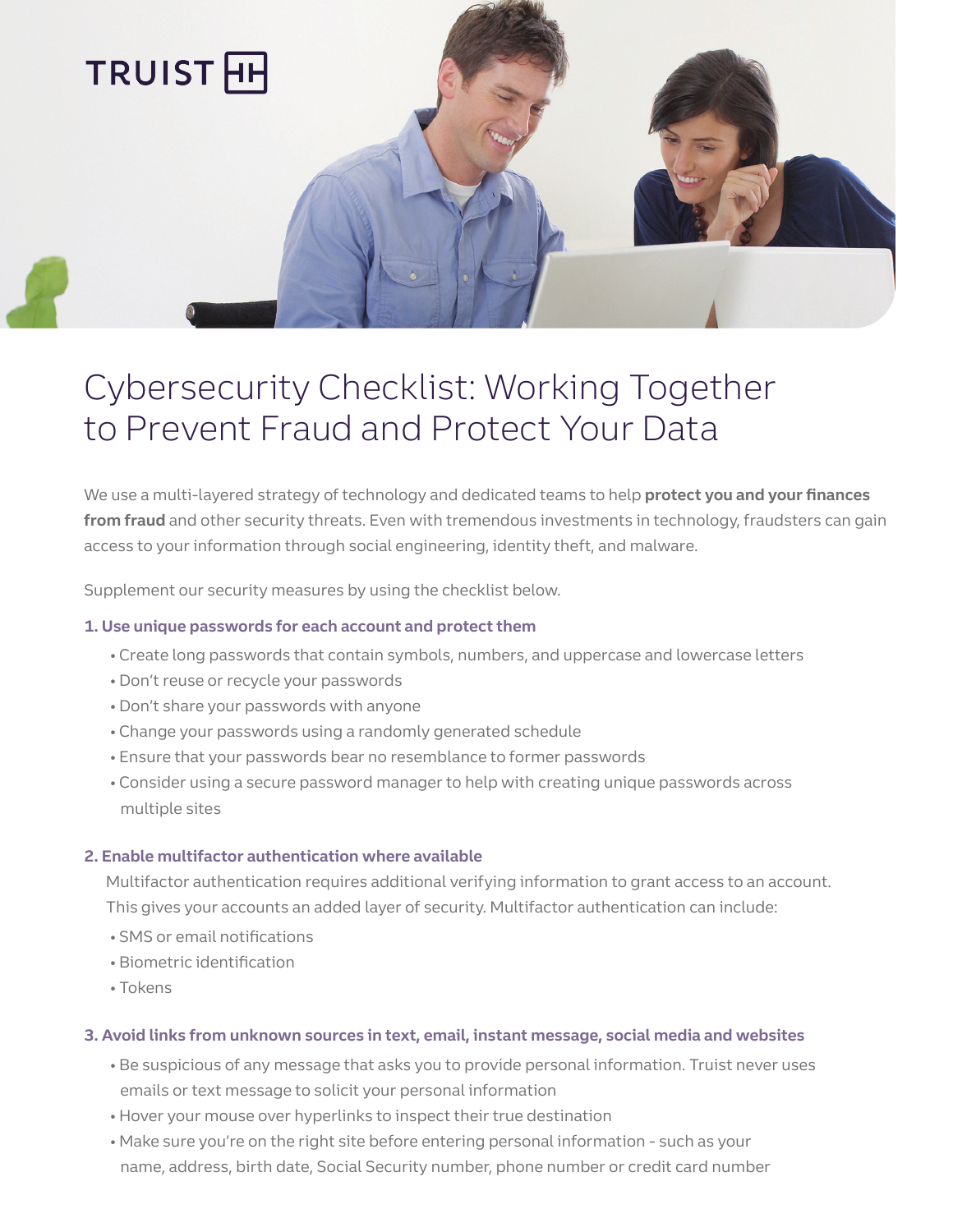

# Cybersecurity Checklist: Working Together to Prevent Fraud and Protect Your Data

We use a multi-layered strategy of technology and dedicated teams to help **protect you and your finances from fraud** and other security threats. Even with tremendous investments in technology, fraudsters can gain access to your information through social engineering, identity theft, and malware.

Supplement our security measures by using the checklist below.

# **1. Use unique passwords for each account and protect them**

- Create long passwords that contain symbols, numbers, and uppercase and lowercase letters
- Don't reuse or recycle your passwords
- Don't share your passwords with anyone
- Change your passwords using a randomly generated schedule
- Ensure that your passwords bear no resemblance to former passwords
- Consider using a secure password manager to help with creating unique passwords across multiple sites

### **2. Enable multifactor authentication where available**

Multifactor authentication requires additional verifying information to grant access to an account. This gives your accounts an added layer of security. Multifactor authentication can include:

- SMS or email notifications
- Biometric identification
- Tokens

### **3. Avoid links from unknown sources in text, email, instant message, social media and websites**

- Be suspicious of any message that asks you to provide personal information. Truist never uses emails or text message to solicit your personal information
- Hover your mouse over hyperlinks to inspect their true destination
- Make sure you're on the right site before entering personal information such as your name, address, birth date, Social Security number, phone number or credit card number